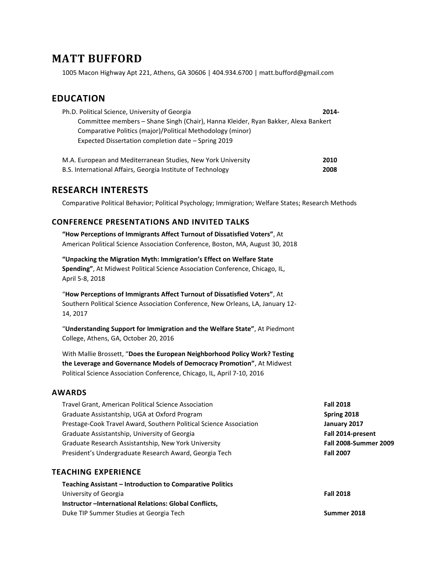# **MATT BUFFORD**

1005 Macon Highway Apt 221, Athens, GA 30606 | 404.934.6700 | matt.bufford@gmail.com

## **EDUCATION**

| Ph.D. Political Science, University of Georgia                                     | 2014- |
|------------------------------------------------------------------------------------|-------|
| Committee members – Shane Singh (Chair), Hanna Kleider, Ryan Bakker, Alexa Bankert |       |
| Comparative Politics (major)/Political Methodology (minor)                         |       |
| Expected Dissertation completion date – Spring 2019                                |       |
|                                                                                    |       |

| M.A. European and Mediterranean Studies, New York University | 2010 |
|--------------------------------------------------------------|------|
| B.S. International Affairs, Georgia Institute of Technology  | 2008 |

### **RESEARCH INTERESTS**

Comparative Political Behavior; Political Psychology; Immigration; Welfare States; Research Methods

#### **CONFERENCE PRESENTATIONS AND INVITED TALKS**

**"How Perceptions of Immigrants Affect Turnout of Dissatisfied Voters"**, At American Political Science Association Conference, Boston, MA, August 30, 2018

**"Unpacking the Migration Myth: Immigration's Effect on Welfare State Spending"**, At Midwest Political Science Association Conference, Chicago, IL, April 5-8, 2018

"**How Perceptions of Immigrants Affect Turnout of Dissatisfied Voters"**, At Southern Political Science Association Conference, New Orleans, LA, January 12- 14, 2017

"**Understanding Support for Immigration and the Welfare State"**, At Piedmont College, Athens, GA, October 20, 2016

With Mallie Brossett, "**Does the European Neighborhood Policy Work? Testing the Leverage and Governance Models of Democracy Promotion"**, At Midwest Political Science Association Conference, Chicago, IL, April 7-10, 2016

#### **AWARDS**

| Travel Grant, American Political Science Association               | <b>Fall 2018</b>             |
|--------------------------------------------------------------------|------------------------------|
| Graduate Assistantship, UGA at Oxford Program                      | Spring 2018                  |
| Prestage-Cook Travel Award, Southern Political Science Association | January 2017                 |
| Graduate Assistantship, University of Georgia                      | Fall 2014-present            |
| Graduate Research Assistantship, New York University               | <b>Fall 2008-Summer 2009</b> |
| President's Undergraduate Research Award, Georgia Tech             | <b>Fall 2007</b>             |

#### **TEACHING EXPERIENCE**

| Teaching Assistant – Introduction to Comparative Politics |                  |
|-----------------------------------------------------------|------------------|
| University of Georgia                                     | <b>Fall 2018</b> |
| Instructor-International Relations: Global Conflicts.     |                  |
| Duke TIP Summer Studies at Georgia Tech                   | Summer 2018      |